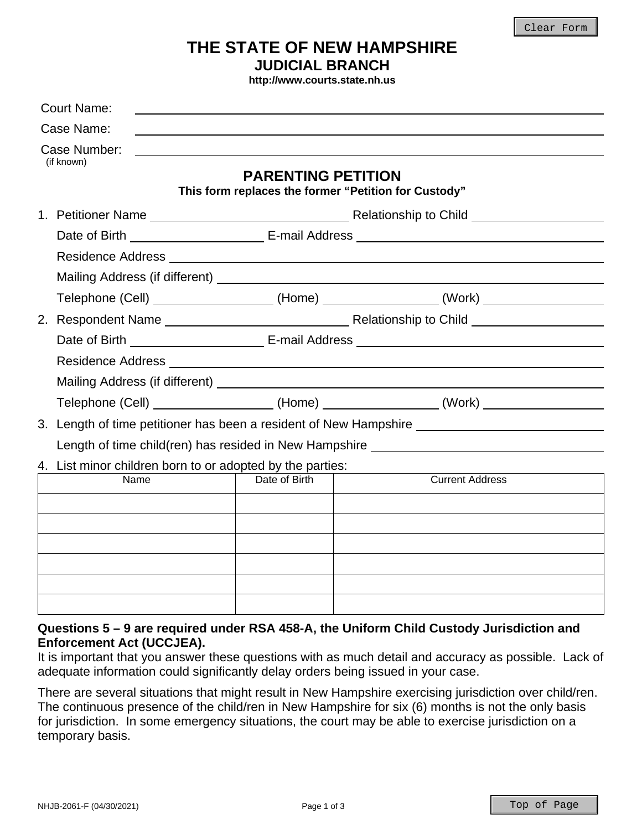# **THE STATE OF NEW HAMPSHIRE JUDICIAL BRANCH**

**http://www.courts.state.nh.us**

|                                                           | <b>Court Name:</b> |                                                        |                                                                                  |  |  |
|-----------------------------------------------------------|--------------------|--------------------------------------------------------|----------------------------------------------------------------------------------|--|--|
|                                                           | Case Name:         |                                                        |                                                                                  |  |  |
| Case Number:<br>(if known)                                |                    |                                                        |                                                                                  |  |  |
|                                                           |                    | <b>PARENTING PETITION</b>                              | This form replaces the former "Petition for Custody"                             |  |  |
|                                                           |                    |                                                        |                                                                                  |  |  |
|                                                           |                    |                                                        |                                                                                  |  |  |
|                                                           |                    |                                                        |                                                                                  |  |  |
|                                                           |                    |                                                        |                                                                                  |  |  |
|                                                           |                    |                                                        | Telephone (Cell) ___________________(Home) _______________(Work) _______________ |  |  |
|                                                           |                    |                                                        |                                                                                  |  |  |
|                                                           |                    |                                                        |                                                                                  |  |  |
|                                                           |                    |                                                        |                                                                                  |  |  |
|                                                           |                    |                                                        |                                                                                  |  |  |
|                                                           |                    |                                                        | Telephone (Cell) ___________________(Home) _______________(Work) _______________ |  |  |
|                                                           |                    |                                                        | 3. Length of time petitioner has been a resident of New Hampshire                |  |  |
|                                                           |                    | Length of time child(ren) has resided in New Hampshire |                                                                                  |  |  |
| 4. List minor children born to or adopted by the parties: |                    |                                                        |                                                                                  |  |  |
|                                                           | Name               | Date of Birth                                          | <b>Current Address</b>                                                           |  |  |
|                                                           |                    |                                                        |                                                                                  |  |  |
|                                                           |                    |                                                        |                                                                                  |  |  |
|                                                           |                    |                                                        |                                                                                  |  |  |
|                                                           |                    |                                                        |                                                                                  |  |  |
|                                                           |                    |                                                        |                                                                                  |  |  |
|                                                           |                    |                                                        |                                                                                  |  |  |

### **Questions 5 – 9 are required under RSA 458-A, the Uniform Child Custody Jurisdiction and Enforcement Act (UCCJEA).**

It is important that you answer these questions with as much detail and accuracy as possible. Lack of adequate information could significantly delay orders being issued in your case.

There are several situations that might result in New Hampshire exercising jurisdiction over child/ren. The continuous presence of the child/ren in New Hampshire for six (6) months is not the only basis for jurisdiction. In some emergency situations, the court may be able to exercise jurisdiction on a temporary basis.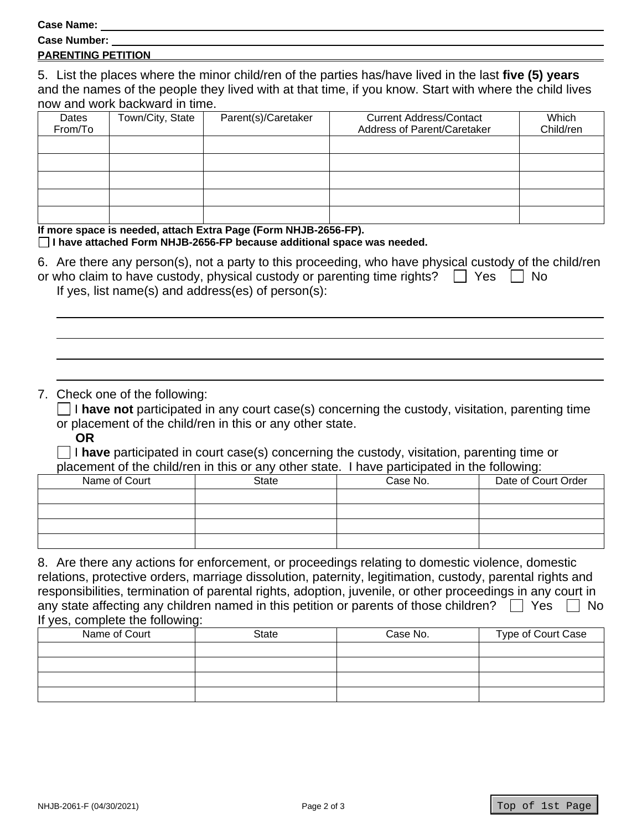**Case Name:** 

| <b>Case Number:</b> |  |
|---------------------|--|
|                     |  |

### **PARENTING PETITION**

5. List the places where the minor child/ren of the parties has/have lived in the last **five (5) years** and the names of the people they lived with at that time, if you know. Start with where the child lives now and work backward in time.

| Dates   | Town/City, State | Parent(s)/Caretaker | <b>Current Address/Contact</b> | Which     |
|---------|------------------|---------------------|--------------------------------|-----------|
| From/To |                  |                     | Address of Parent/Caretaker    | Child/ren |
|         |                  |                     |                                |           |
|         |                  |                     |                                |           |
|         |                  |                     |                                |           |
|         |                  |                     |                                |           |
|         |                  |                     |                                |           |

#### **If more space is needed, attach Extra Page (Form NHJB-2656-FP).**

#### **I have attached Form NHJB-2656-FP because additional space was needed.**

| 6. Are there any person(s), not a party to this proceeding, who have physical custody of the child/ren |  |
|--------------------------------------------------------------------------------------------------------|--|
| or who claim to have custody, physical custody or parenting time rights? $\Box$ Yes $\Box$ No          |  |
| If yes list nome $(a)$ and address $(a)$ of noroon $(a)$ .                                             |  |

If yes, list name(s) and address(es) of person(s):

## 7. Check one of the following:

 $\Box$  I have not participated in any court case(s) concerning the custody, visitation, parenting time or placement of the child/ren in this or any other state.

**OR**

 I **have** participated in court case(s) concerning the custody, visitation, parenting time or placement of the child/ren in this or any other state. I have participated in the following:

| Name of Court | State | Case No. | Date of Court Order |
|---------------|-------|----------|---------------------|
|               |       |          |                     |
|               |       |          |                     |
|               |       |          |                     |
|               |       |          |                     |

8. Are there any actions for enforcement, or proceedings relating to domestic violence, domestic relations, protective orders, marriage dissolution, paternity, legitimation, custody, parental rights and responsibilities, termination of parental rights, adoption, juvenile, or other proceedings in any court in any state affecting any children named in this petition or parents of those children?  $\Box$  Yes  $\Box$  No If yes, complete the following:

| Name of Court | State | Case No. | Type of Court Case |
|---------------|-------|----------|--------------------|
|               |       |          |                    |
|               |       |          |                    |
|               |       |          |                    |
|               |       |          |                    |